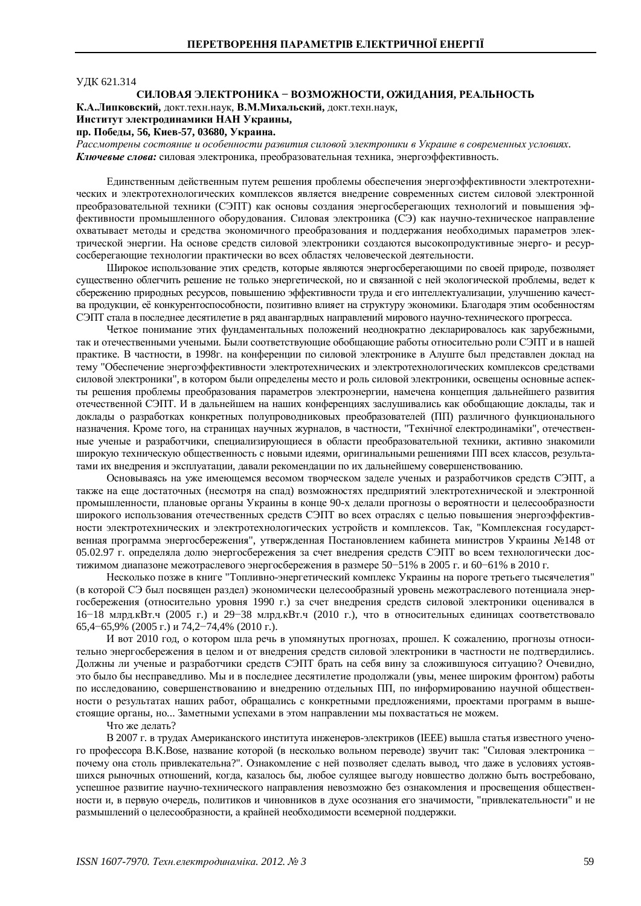#### **УДК 621.314**

# СИЛОВАЯ ЭЛЕКТРОНИКА - ВОЗМОЖНОСТИ, ОЖИДАНИЯ, РЕАЛЬНОСТЬ

К.А.Липковский, докт.техн.наук, В.М.Михальский, докт.техн.наук,

## Институт электродинамики НАН Украины,

пр. Победы, 56, Киев-57, 03680, Украина.

Рассмотрены состояние и особенности развития силовой электроники в Украине в современных условиях. Ключевые слова: силовая электроника, преобразовательная техника, энергоэффективность.

Единственным действенным путем решения проблемы обеспечения энергоэффективности электротехнических и электротехнологических комплексов является внедрение современных систем силовой электронной преобразовательной техники (СЭПТ) как основы создания энергосберегающих технологий и повышения эффективности промышленного оборудования. Силовая электроника (СЭ) как научно-техническое направление охватывает методы и средства экономичного преобразования и поддержания необходимых параметров электрической энергии. На основе средств силовой электроники создаются высокопродуктивные энерго- и ресурсосберегающие технологии практически во всех областях человеческой деятельности.

Широкое использование этих средств, которые являются энергосберегающими по своей природе, позволяет существенно облегчить решение не только энергетической, но и связанной с ней экологической проблемы, ведет к сбережению природных ресурсов, повышению эффективности труда и его интеллектуализации, улучшению качества продукции, её конкурентоспособности, позитивно влияет на структуру экономики. Благодаря этим особенностям СЭПТ стала в последнее десятилетие в ряд авангардных направлений мирового научно-технического прогресса.

Четкое понимание этих фунламентальных положений неолнократно лекларировалось как зарубежными. так и отечественными учеными. Были соответствующие обобщающие работы относительно роли СЭПТ и в нашей практике. В частности, в 1998г. на конференции по силовой электронике в Алуште был представлен доклад на тему "Обеспечение энергоэффективности электротехнических и электротехнологических комплексов средствами силовой электроники", в котором были определены место и роль силовой электроники, освещены основные аспекты решения проблемы преобразования параметров электроэнергии, намечена концепция дальнейшего развития отечественной СЭПТ. И в дальнейшем на наших конференциях заслушивались как обобщающие доклады, так и доклады о разработках конкретных полупроводниковых преобразователей (ПП) различного функционального назначения. Кроме того, на страницах научных журналов, в частности, "Технічної електродинаміки", отечественные ученые и разработчики, специализирующиеся в области преобразовательной техники, активно знакомили широкую техническую общественность с новыми идеями, оригинальными решениями ПП всех классов, результатами их внедрения и эксплуатации, давали рекомендации по их дальнейшему совершенствованию.

Основываясь на уже имеющемся весомом творческом залеле ученых и разработчиков средств СЭПТ, а также на еще достаточных (несмотря на спад) возможностях предприятий электротехнической и электронной промышленности, плановые органы Украины в конце 90-х делали прогнозы о вероятности и целесообразности широкого использования отечественных средств СЭПТ во всех отраслях с целью повышения энергоэффективности электротехнических и электротехнологических устройств и комплексов. Так, "Комплексная государственная программа энергосбережения", утвержденная Постановлением кабинета министров Украины №148 от 05.02.97 г. определяла долю энергосбережения за счет внедрения средств СЭПТ во всем технологически достижимом диапазоне межотраслевого энергосбережения в размере 50-51% в 2005 г. и 60-61% в 2010 г.

Несколько позже в книге "Топливно-энергетический комплекс Украины на пороге третьего тысячелетия" (в которой СЭ был посвящен раздел) экономически целесообразный уровень межотраслевого потенциала энергосбережения (относительно уровня 1990 г.) за счет внедрения средств силовой электроники оценивался в 16–18 млрд.кВт.ч (2005 г.) и 29–38 млрд.кВт.ч (2010 г.), что в относительных единицах соответствовало 65,4–65,9% (2005 г.) и 74,2–74,4% (2010 г.).

И вот 2010 год, о котором шла речь в упомянутых прогнозах, прошел. К сожалению, прогнозы относительно энергосбережения в целом и от внедрения средств силовой электроники в частности не подтвердились. Должны ли ученые и разработчики средств СЭПТ брать на себя вину за сложившуюся ситуацию? Очевидно, это было бы несправедливо. Мы и в последнее десятилетие продолжали (увы, менее широким фронтом) работы по исследованию, совершенствованию и внедрению отдельных ПП, по информированию научной общественности о результатах наших работ, обращались с конкретными предложениями, проектами программ в вышестоящие органы, но... Заметными успехами в этом направлении мы похвастаться не можем.

Что же лелать?

В 2007 г. в трудах Американского института инженеров-электриков (IEEE) вышла статья известного ученого профессора В.К.Возе, название которой (в несколько вольном переводе) звучит так: "Силовая электроника почему она столь привлекательна?". Ознакомление с ней позволяет сделать вывод, что даже в условиях устоявшихся рыночных отношений, когда, казалось бы, любое сулящее выгоду новшество должно быть востребовано, успешное развитие научно-технического направления невозможно без ознакомления и просвещения общественности и, в первую очередь, политиков и чиновников в духе осознания его значимости, "привлекательности" и не размышлений о целесообразности, а крайней необходимости всемерной поддержки.